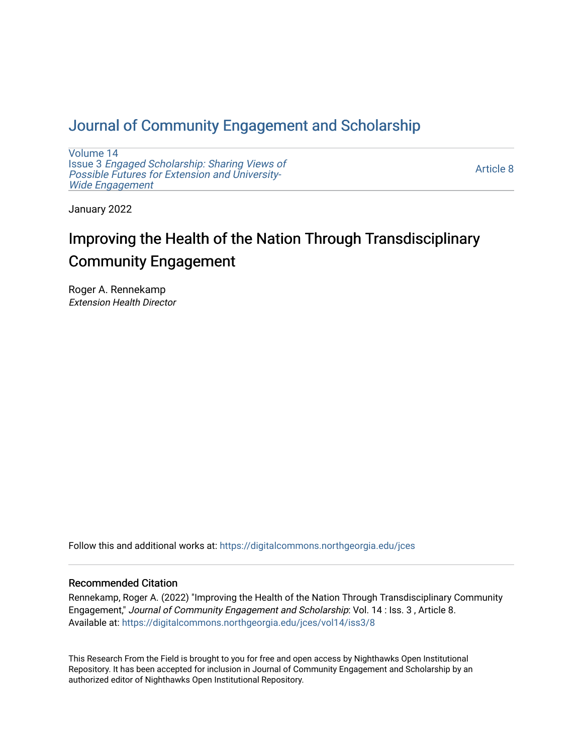# [Journal of Community Engagement and Scholarship](https://digitalcommons.northgeorgia.edu/jces)

[Volume 14](https://digitalcommons.northgeorgia.edu/jces/vol14) Issue 3 [Engaged Scholarship: Sharing Views of](https://digitalcommons.northgeorgia.edu/jces/vol14/iss3) [Possible Futures for Extension and University-](https://digitalcommons.northgeorgia.edu/jces/vol14/iss3)[Wide Engagement](https://digitalcommons.northgeorgia.edu/jces/vol14/iss3) 

[Article 8](https://digitalcommons.northgeorgia.edu/jces/vol14/iss3/8) 

January 2022

# Improving the Health of the Nation Through Transdisciplinary Community Engagement

Roger A. Rennekamp Extension Health Director

Follow this and additional works at: [https://digitalcommons.northgeorgia.edu/jces](https://digitalcommons.northgeorgia.edu/jces?utm_source=digitalcommons.northgeorgia.edu%2Fjces%2Fvol14%2Fiss3%2F8&utm_medium=PDF&utm_campaign=PDFCoverPages)

# Recommended Citation

Rennekamp, Roger A. (2022) "Improving the Health of the Nation Through Transdisciplinary Community Engagement," Journal of Community Engagement and Scholarship: Vol. 14 : Iss. 3 , Article 8. Available at: [https://digitalcommons.northgeorgia.edu/jces/vol14/iss3/8](https://digitalcommons.northgeorgia.edu/jces/vol14/iss3/8?utm_source=digitalcommons.northgeorgia.edu%2Fjces%2Fvol14%2Fiss3%2F8&utm_medium=PDF&utm_campaign=PDFCoverPages) 

This Research From the Field is brought to you for free and open access by Nighthawks Open Institutional Repository. It has been accepted for inclusion in Journal of Community Engagement and Scholarship by an authorized editor of Nighthawks Open Institutional Repository.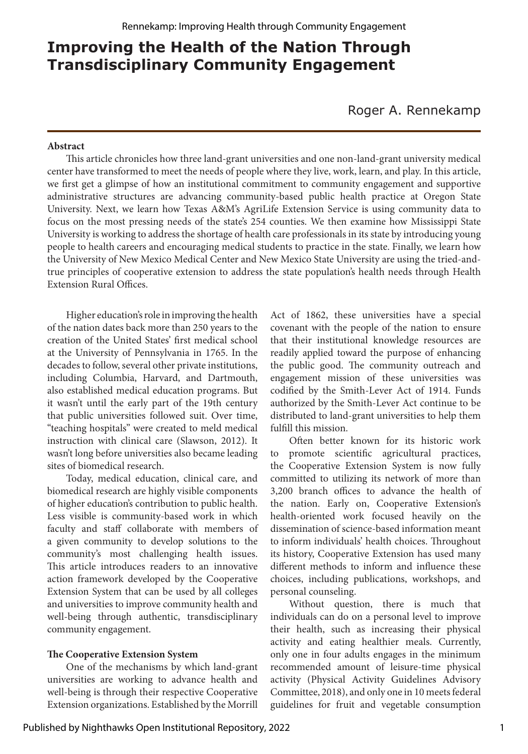# **Improving the Health of the Nation Through Transdisciplinary Community Engagement**

Roger A. Rennekamp

#### **Abstract**

This article chronicles how three land-grant universities and one non-land-grant university medical center have transformed to meet the needs of people where they live, work, learn, and play. In this article, we first get a glimpse of how an institutional commitment to community engagement and supportive administrative structures are advancing community-based public health practice at Oregon State University. Next, we learn how Texas A&M's AgriLife Extension Service is using community data to focus on the most pressing needs of the state's 254 counties. We then examine how Mississippi State University is working to address the shortage of health care professionals in its state by introducing young people to health careers and encouraging medical students to practice in the state. Finally, we learn how the University of New Mexico Medical Center and New Mexico State University are using the tried-andtrue principles of cooperative extension to address the state population's health needs through Health Extension Rural Offices.

Higher education's role in improving the health of the nation dates back more than 250 years to the creation of the United States' first medical school at the University of Pennsylvania in 1765. In the decades to follow, several other private institutions, including Columbia, Harvard, and Dartmouth, also established medical education programs. But it wasn't until the early part of the 19th century that public universities followed suit. Over time, "teaching hospitals" were created to meld medical instruction with clinical care (Slawson, 2012). It wasn't long before universities also became leading sites of biomedical research.

Today, medical education, clinical care, and biomedical research are highly visible components of higher education's contribution to public health. Less visible is community-based work in which faculty and staff collaborate with members of a given community to develop solutions to the community's most challenging health issues. This article introduces readers to an innovative action framework developed by the Cooperative Extension System that can be used by all colleges and universities to improve community health and well-being through authentic, transdisciplinary community engagement.

### **The Cooperative Extension System**

One of the mechanisms by which land-grant universities are working to advance health and well-being is through their respective Cooperative Extension organizations. Established by the Morrill Act of 1862, these universities have a special covenant with the people of the nation to ensure that their institutional knowledge resources are readily applied toward the purpose of enhancing the public good. The community outreach and engagement mission of these universities was codified by the Smith-Lever Act of 1914. Funds authorized by the Smith-Lever Act continue to be distributed to land-grant universities to help them fulfill this mission.

Often better known for its historic work to promote scientific agricultural practices, the Cooperative Extension System is now fully committed to utilizing its network of more than 3,200 branch offices to advance the health of the nation. Early on, Cooperative Extension's health-oriented work focused heavily on the dissemination of science-based information meant to inform individuals' health choices. Throughout its history, Cooperative Extension has used many different methods to inform and influence these choices, including publications, workshops, and personal counseling.

Without question, there is much that individuals can do on a personal level to improve their health, such as increasing their physical activity and eating healthier meals. Currently, only one in four adults engages in the minimum recommended amount of leisure-time physical activity (Physical Activity Guidelines Advisory Committee, 2018), and only one in 10 meets federal guidelines for fruit and vegetable consumption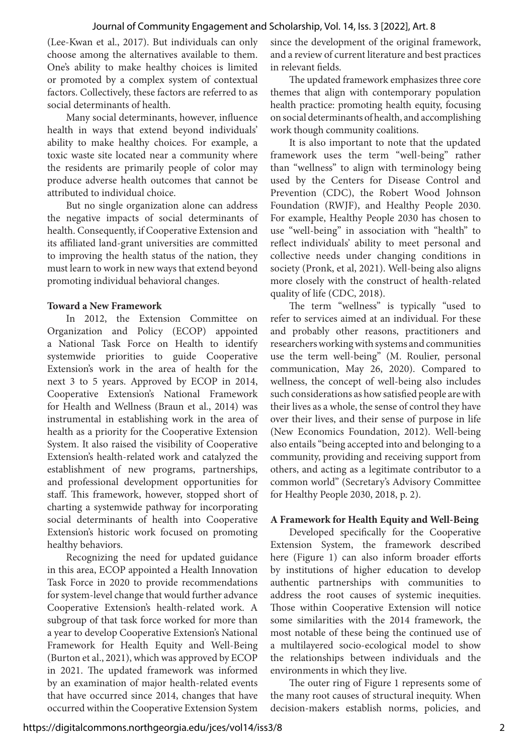(Lee-Kwan et al., 2017). But individuals can only choose among the alternatives available to them. One's ability to make healthy choices is limited or promoted by a complex system of contextual factors. Collectively, these factors are referred to as social determinants of health.

Many social determinants, however, influence health in ways that extend beyond individuals' ability to make healthy choices. For example, a toxic waste site located near a community where the residents are primarily people of color may produce adverse health outcomes that cannot be attributed to individual choice.

But no single organization alone can address the negative impacts of social determinants of health. Consequently, if Cooperative Extension and its affiliated land-grant universities are committed to improving the health status of the nation, they must learn to work in new ways that extend beyond promoting individual behavioral changes.

### **Toward a New Framework**

In 2012, the Extension Committee on Organization and Policy (ECOP) appointed a National Task Force on Health to identify systemwide priorities to guide Cooperative Extension's work in the area of health for the next 3 to 5 years. Approved by ECOP in 2014, Cooperative Extension's National Framework for Health and Wellness (Braun et al., 2014) was instrumental in establishing work in the area of health as a priority for the Cooperative Extension System. It also raised the visibility of Cooperative Extension's health-related work and catalyzed the establishment of new programs, partnerships, and professional development opportunities for staff. This framework, however, stopped short of charting a systemwide pathway for incorporating social determinants of health into Cooperative Extension's historic work focused on promoting healthy behaviors.

Recognizing the need for updated guidance in this area, ECOP appointed a Health Innovation Task Force in 2020 to provide recommendations for system-level change that would further advance Cooperative Extension's health-related work. A subgroup of that task force worked for more than a year to develop Cooperative Extension's National Framework for Health Equity and Well-Being (Burton et al., 2021), which was approved by ECOP in 2021. The updated framework was informed by an examination of major health-related events that have occurred since 2014, changes that have occurred within the Cooperative Extension System

since the development of the original framework, and a review of current literature and best practices in relevant fields.

The updated framework emphasizes three core themes that align with contemporary population health practice: promoting health equity, focusing on social determinants of health, and accomplishing work though community coalitions.

It is also important to note that the updated framework uses the term "well-being" rather than "wellness" to align with terminology being used by the Centers for Disease Control and Prevention (CDC), the Robert Wood Johnson Foundation (RWJF), and Healthy People 2030. For example, Healthy People 2030 has chosen to use "well-being" in association with "health" to reflect individuals' ability to meet personal and collective needs under changing conditions in society (Pronk, et al, 2021). Well-being also aligns more closely with the construct of health-related quality of life (CDC, 2018).

The term "wellness" is typically "used to refer to services aimed at an individual. For these and probably other reasons, practitioners and researchers working with systems and communities use the term well-being" (M. Roulier, personal communication, May 26, 2020). Compared to wellness, the concept of well-being also includes such considerations as how satisfied people are with their lives as a whole, the sense of control they have over their lives, and their sense of purpose in life (New Economics Foundation, 2012). Well-being also entails "being accepted into and belonging to a community, providing and receiving support from others, and acting as a legitimate contributor to a common world" (Secretary's Advisory Committee for Healthy People 2030, 2018, p. 2).

# **A Framework for Health Equity and Well-Being**

Developed specifically for the Cooperative Extension System, the framework described here (Figure 1) can also inform broader efforts by institutions of higher education to develop authentic partnerships with communities to address the root causes of systemic inequities. Those within Cooperative Extension will notice some similarities with the 2014 framework, the most notable of these being the continued use of a multilayered socio-ecological model to show the relationships between individuals and the environments in which they live.

The outer ring of Figure 1 represents some of the many root causes of structural inequity. When decision-makers establish norms, policies, and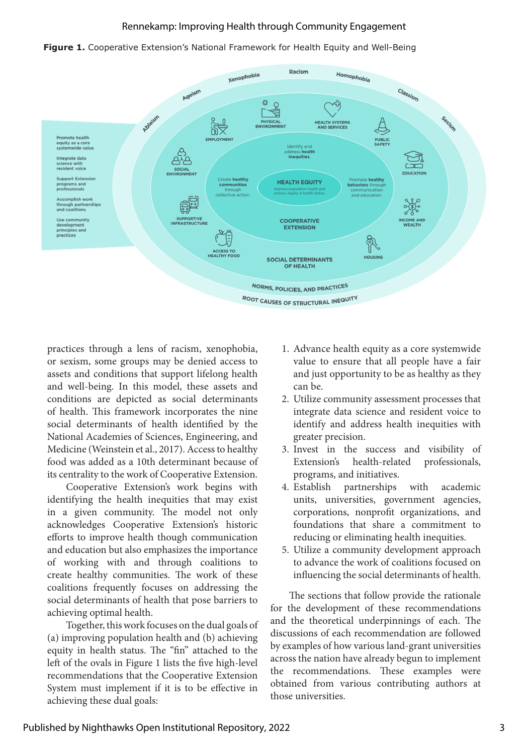



practices through a lens of racism, xenophobia, or sexism, some groups may be denied access to assets and conditions that support lifelong health and well-being. In this model, these assets and conditions are depicted as social determinants of health. This framework incorporates the nine social determinants of health identified by the National Academies of Sciences, Engineering, and Medicine (Weinstein et al., 2017). Access to healthy food was added as a 10th determinant because of its centrality to the work of Cooperative Extension.

Cooperative Extension's work begins with identifying the health inequities that may exist in a given community. The model not only acknowledges Cooperative Extension's historic efforts to improve health though communication and education but also emphasizes the importance of working with and through coalitions to create healthy communities. The work of these coalitions frequently focuses on addressing the social determinants of health that pose barriers to achieving optimal health.

Together, this work focuses on the dual goals of (a) improving population health and (b) achieving equity in health status. The "fin" attached to the left of the ovals in Figure 1 lists the five high-level recommendations that the Cooperative Extension System must implement if it is to be effective in achieving these dual goals:

- 1. Advance health equity as a core systemwide value to ensure that all people have a fair and just opportunity to be as healthy as they can be.
- 2. Utilize community assessment processes that integrate data science and resident voice to identify and address health inequities with greater precision.
- 3. Invest in the success and visibility of Extension's health-related professionals, programs, and initiatives.
- 4. Establish partnerships with academic units, universities, government agencies, corporations, nonprofit organizations, and foundations that share a commitment to reducing or eliminating health inequities.
- 5. Utilize a community development approach to advance the work of coalitions focused on influencing the social determinants of health.

The sections that follow provide the rationale for the development of these recommendations and the theoretical underpinnings of each. The discussions of each recommendation are followed by examples of how various land-grant universities across the nation have already begun to implement the recommendations. These examples were obtained from various contributing authors at those universities.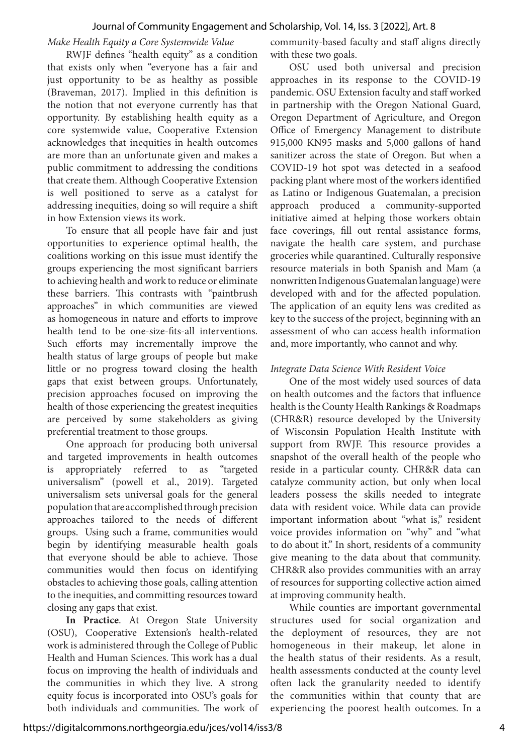### Journal of Community Engagement and Scholarship, Vol. 14, Iss. 3 [2022], Art. 8

*Make Health Equity a Core Systemwide Value*

RWJF defines "health equity" as a condition that exists only when "everyone has a fair and just opportunity to be as healthy as possible (Braveman, 2017). Implied in this definition is the notion that not everyone currently has that opportunity. By establishing health equity as a core systemwide value, Cooperative Extension acknowledges that inequities in health outcomes are more than an unfortunate given and makes a public commitment to addressing the conditions that create them. Although Cooperative Extension is well positioned to serve as a catalyst for addressing inequities, doing so will require a shift in how Extension views its work.

To ensure that all people have fair and just opportunities to experience optimal health, the coalitions working on this issue must identify the groups experiencing the most significant barriers to achieving health and work to reduce or eliminate these barriers. This contrasts with "paintbrush approaches" in which communities are viewed as homogeneous in nature and efforts to improve health tend to be one-size-fits-all interventions. Such efforts may incrementally improve the health status of large groups of people but make little or no progress toward closing the health gaps that exist between groups. Unfortunately, precision approaches focused on improving the health of those experiencing the greatest inequities are perceived by some stakeholders as giving preferential treatment to those groups.

One approach for producing both universal and targeted improvements in health outcomes is appropriately referred to as "targeted universalism" (powell et al., 2019). Targeted universalism sets universal goals for the general population that are accomplished through precision approaches tailored to the needs of different groups. Using such a frame, communities would begin by identifying measurable health goals that everyone should be able to achieve. Those communities would then focus on identifying obstacles to achieving those goals, calling attention to the inequities, and committing resources toward closing any gaps that exist.

**In Practice**. At Oregon State University (OSU), Cooperative Extension's health-related work is administered through the College of Public Health and Human Sciences. This work has a dual focus on improving the health of individuals and the communities in which they live. A strong equity focus is incorporated into OSU's goals for both individuals and communities. The work of community-based faculty and staff aligns directly with these two goals.

OSU used both universal and precision approaches in its response to the COVID-19 pandemic. OSU Extension faculty and staff worked in partnership with the Oregon National Guard, Oregon Department of Agriculture, and Oregon Office of Emergency Management to distribute 915,000 KN95 masks and 5,000 gallons of hand sanitizer across the state of Oregon. But when a COVID-19 hot spot was detected in a seafood packing plant where most of the workers identified as Latino or Indigenous Guatemalan, a precision approach produced a community-supported initiative aimed at helping those workers obtain face coverings, fill out rental assistance forms, navigate the health care system, and purchase groceries while quarantined. Culturally responsive resource materials in both Spanish and Mam (a nonwritten Indigenous Guatemalan language) were developed with and for the affected population. The application of an equity lens was credited as key to the success of the project, beginning with an assessment of who can access health information and, more importantly, who cannot and why.

## *Integrate Data Science With Resident Voice*

One of the most widely used sources of data on health outcomes and the factors that influence health is the County Health Rankings & Roadmaps (CHR&R) resource developed by the University of Wisconsin Population Health Institute with support from RWJF. This resource provides a snapshot of the overall health of the people who reside in a particular county. CHR&R data can catalyze community action, but only when local leaders possess the skills needed to integrate data with resident voice. While data can provide important information about "what is," resident voice provides information on "why" and "what to do about it." In short, residents of a community give meaning to the data about that community. CHR&R also provides communities with an array of resources for supporting collective action aimed at improving community health.

While counties are important governmental structures used for social organization and the deployment of resources, they are not homogeneous in their makeup, let alone in the health status of their residents. As a result, health assessments conducted at the county level often lack the granularity needed to identify the communities within that county that are experiencing the poorest health outcomes. In a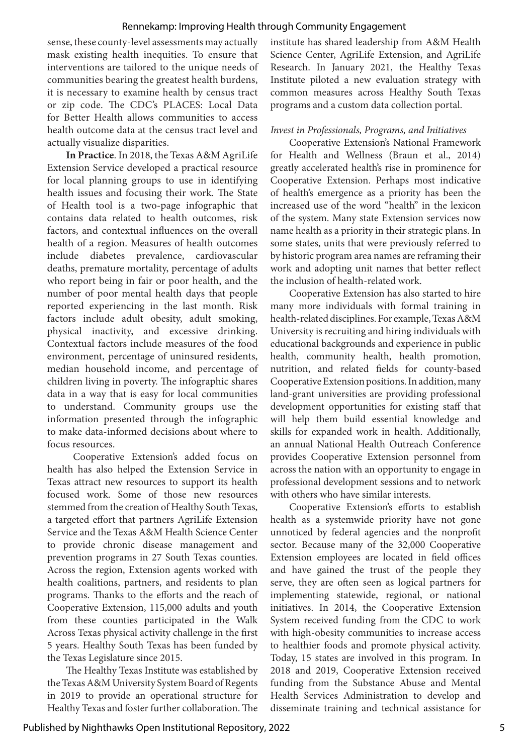sense, these county-level assessments may actually mask existing health inequities. To ensure that interventions are tailored to the unique needs of communities bearing the greatest health burdens, it is necessary to examine health by census tract or zip code. The CDC's PLACES: Local Data for Better Health allows communities to access health outcome data at the census tract level and actually visualize disparities.

**In Practice**. In 2018, the Texas A&M AgriLife Extension Service developed a practical resource for local planning groups to use in identifying health issues and focusing their work. The State of Health tool is a two-page infographic that contains data related to health outcomes, risk factors, and contextual influences on the overall health of a region. Measures of health outcomes include diabetes prevalence, cardiovascular deaths, premature mortality, percentage of adults who report being in fair or poor health, and the number of poor mental health days that people reported experiencing in the last month. Risk factors include adult obesity, adult smoking, physical inactivity, and excessive drinking. Contextual factors include measures of the food environment, percentage of uninsured residents, median household income, and percentage of children living in poverty. The infographic shares data in a way that is easy for local communities to understand. Community groups use the information presented through the infographic to make data-informed decisions about where to focus resources.

 Cooperative Extension's added focus on health has also helped the Extension Service in Texas attract new resources to support its health focused work. Some of those new resources stemmed from the creation of Healthy South Texas, a targeted effort that partners AgriLife Extension Service and the Texas A&M Health Science Center to provide chronic disease management and prevention programs in 27 South Texas counties. Across the region, Extension agents worked with health coalitions, partners, and residents to plan programs. Thanks to the efforts and the reach of Cooperative Extension, 115,000 adults and youth from these counties participated in the Walk Across Texas physical activity challenge in the first 5 years. Healthy South Texas has been funded by the Texas Legislature since 2015.

The Healthy Texas Institute was established by the Texas A&M University System Board of Regents in 2019 to provide an operational structure for Healthy Texas and foster further collaboration. The institute has shared leadership from A&M Health Science Center, AgriLife Extension, and AgriLife Research. In January 2021, the Healthy Texas Institute piloted a new evaluation strategy with common measures across Healthy South Texas programs and a custom data collection portal.

### *Invest in Professionals, Programs, and Initiatives*

Cooperative Extension's National Framework for Health and Wellness (Braun et al., 2014) greatly accelerated health's rise in prominence for Cooperative Extension. Perhaps most indicative of health's emergence as a priority has been the increased use of the word "health" in the lexicon of the system. Many state Extension services now name health as a priority in their strategic plans. In some states, units that were previously referred to by historic program area names are reframing their work and adopting unit names that better reflect the inclusion of health-related work.

Cooperative Extension has also started to hire many more individuals with formal training in health-related disciplines. For example, Texas A&M University is recruiting and hiring individuals with educational backgrounds and experience in public health, community health, health promotion, nutrition, and related fields for county-based Cooperative Extension positions. In addition, many land-grant universities are providing professional development opportunities for existing staff that will help them build essential knowledge and skills for expanded work in health. Additionally, an annual National Health Outreach Conference provides Cooperative Extension personnel from across the nation with an opportunity to engage in professional development sessions and to network with others who have similar interests.

Cooperative Extension's efforts to establish health as a systemwide priority have not gone unnoticed by federal agencies and the nonprofit sector. Because many of the 32,000 Cooperative Extension employees are located in field offices and have gained the trust of the people they serve, they are often seen as logical partners for implementing statewide, regional, or national initiatives. In 2014, the Cooperative Extension System received funding from the CDC to work with high-obesity communities to increase access to healthier foods and promote physical activity. Today, 15 states are involved in this program. In 2018 and 2019, Cooperative Extension received funding from the Substance Abuse and Mental Health Services Administration to develop and disseminate training and technical assistance for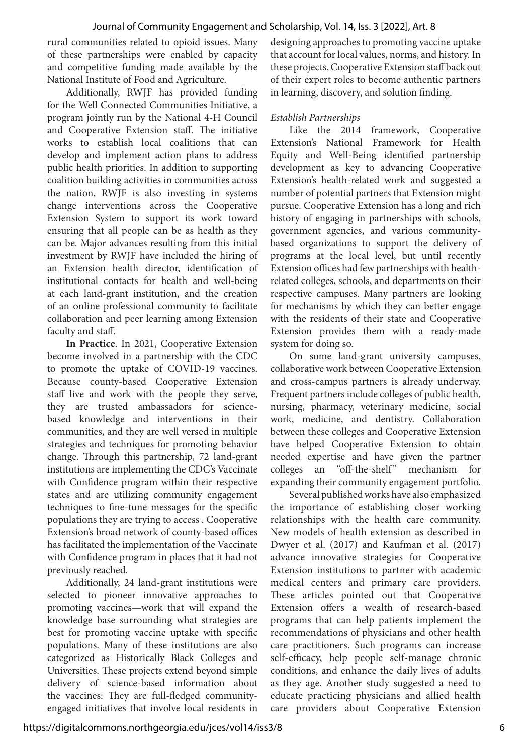rural communities related to opioid issues. Many of these partnerships were enabled by capacity and competitive funding made available by the National Institute of Food and Agriculture.

Additionally, RWJF has provided funding for the Well Connected Communities Initiative, a program jointly run by the National 4-H Council and Cooperative Extension staff. The initiative works to establish local coalitions that can develop and implement action plans to address public health priorities. In addition to supporting coalition building activities in communities across the nation, RWJF is also investing in systems change interventions across the Cooperative Extension System to support its work toward ensuring that all people can be as health as they can be. Major advances resulting from this initial investment by RWJF have included the hiring of an Extension health director, identification of institutional contacts for health and well-being at each land-grant institution, and the creation of an online professional community to facilitate collaboration and peer learning among Extension faculty and staff.

**In Practice**. In 2021, Cooperative Extension become involved in a partnership with the CDC to promote the uptake of COVID-19 vaccines. Because county-based Cooperative Extension staff live and work with the people they serve, they are trusted ambassadors for sciencebased knowledge and interventions in their communities, and they are well versed in multiple strategies and techniques for promoting behavior change. Through this partnership, 72 land-grant institutions are implementing the CDC's Vaccinate with Confidence program within their respective states and are utilizing community engagement techniques to fine-tune messages for the specific populations they are trying to access . Cooperative Extension's broad network of county-based offices has facilitated the implementation of the Vaccinate with Confidence program in places that it had not previously reached.

Additionally, 24 land-grant institutions were selected to pioneer innovative approaches to promoting vaccines—work that will expand the knowledge base surrounding what strategies are best for promoting vaccine uptake with specific populations. Many of these institutions are also categorized as Historically Black Colleges and Universities. These projects extend beyond simple delivery of science-based information about the vaccines: They are full-fledged communityengaged initiatives that involve local residents in designing approaches to promoting vaccine uptake that account for local values, norms, and history. In these projects, Cooperative Extension staff back out of their expert roles to become authentic partners in learning, discovery, and solution finding.

# *Establish Partnerships*

Like the 2014 framework, Cooperative Extension's National Framework for Health Equity and Well-Being identified partnership development as key to advancing Cooperative Extension's health-related work and suggested a number of potential partners that Extension might pursue. Cooperative Extension has a long and rich history of engaging in partnerships with schools, government agencies, and various communitybased organizations to support the delivery of programs at the local level, but until recently Extension offices had few partnerships with healthrelated colleges, schools, and departments on their respective campuses. Many partners are looking for mechanisms by which they can better engage with the residents of their state and Cooperative Extension provides them with a ready-made system for doing so.

On some land-grant university campuses, collaborative work between Cooperative Extension and cross-campus partners is already underway. Frequent partners include colleges of public health, nursing, pharmacy, veterinary medicine, social work, medicine, and dentistry. Collaboration between these colleges and Cooperative Extension have helped Cooperative Extension to obtain needed expertise and have given the partner colleges an "off-the-shelf" mechanism for expanding their community engagement portfolio.

Several published works have also emphasized the importance of establishing closer working relationships with the health care community. New models of health extension as described in Dwyer et al. (2017) and Kaufman et al. (2017) advance innovative strategies for Cooperative Extension institutions to partner with academic medical centers and primary care providers. These articles pointed out that Cooperative Extension offers a wealth of research-based programs that can help patients implement the recommendations of physicians and other health care practitioners. Such programs can increase self-efficacy, help people self-manage chronic conditions, and enhance the daily lives of adults as they age. Another study suggested a need to educate practicing physicians and allied health care providers about Cooperative Extension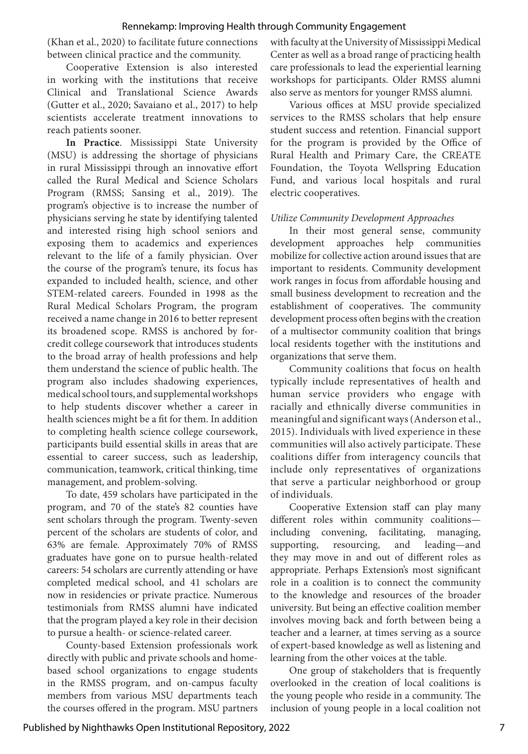(Khan et al., 2020) to facilitate future connections between clinical practice and the community.

Cooperative Extension is also interested in working with the institutions that receive Clinical and Translational Science Awards (Gutter et al., 2020; Savaiano et al., 2017) to help scientists accelerate treatment innovations to reach patients sooner.

**In Practice**. Mississippi State University (MSU) is addressing the shortage of physicians in rural Mississippi through an innovative effort called the Rural Medical and Science Scholars Program (RMSS; Sansing et al., 2019). The program's objective is to increase the number of physicians serving he state by identifying talented and interested rising high school seniors and exposing them to academics and experiences relevant to the life of a family physician. Over the course of the program's tenure, its focus has expanded to included health, science, and other STEM-related careers. Founded in 1998 as the Rural Medical Scholars Program, the program received a name change in 2016 to better represent its broadened scope. RMSS is anchored by forcredit college coursework that introduces students to the broad array of health professions and help them understand the science of public health. The program also includes shadowing experiences, medical school tours, and supplemental workshops to help students discover whether a career in health sciences might be a fit for them. In addition to completing health science college coursework, participants build essential skills in areas that are essential to career success, such as leadership, communication, teamwork, critical thinking, time management, and problem-solving.

To date, 459 scholars have participated in the program, and 70 of the state's 82 counties have sent scholars through the program. Twenty-seven percent of the scholars are students of color, and 63% are female. Approximately 70% of RMSS graduates have gone on to pursue health-related careers: 54 scholars are currently attending or have completed medical school, and 41 scholars are now in residencies or private practice. Numerous testimonials from RMSS alumni have indicated that the program played a key role in their decision to pursue a health- or science-related career.

County-based Extension professionals work directly with public and private schools and homebased school organizations to engage students in the RMSS program, and on-campus faculty members from various MSU departments teach the courses offered in the program. MSU partners with faculty at the University of Mississippi Medical Center as well as a broad range of practicing health care professionals to lead the experiential learning workshops for participants. Older RMSS alumni also serve as mentors for younger RMSS alumni.

Various offices at MSU provide specialized services to the RMSS scholars that help ensure student success and retention. Financial support for the program is provided by the Office of Rural Health and Primary Care, the CREATE Foundation, the Toyota Wellspring Education Fund, and various local hospitals and rural electric cooperatives.

### *Utilize Community Development Approaches*

In their most general sense, community development approaches help communities mobilize for collective action around issues that are important to residents. Community development work ranges in focus from affordable housing and small business development to recreation and the establishment of cooperatives. The community development process often begins with the creation of a multisector community coalition that brings local residents together with the institutions and organizations that serve them.

Community coalitions that focus on health typically include representatives of health and human service providers who engage with racially and ethnically diverse communities in meaningful and significant ways (Anderson et al., 2015). Individuals with lived experience in these communities will also actively participate. These coalitions differ from interagency councils that include only representatives of organizations that serve a particular neighborhood or group of individuals.

Cooperative Extension staff can play many different roles within community coalitions including convening, facilitating, managing, supporting, resourcing, and leading—and they may move in and out of different roles as appropriate. Perhaps Extension's most significant role in a coalition is to connect the community to the knowledge and resources of the broader university. But being an effective coalition member involves moving back and forth between being a teacher and a learner, at times serving as a source of expert-based knowledge as well as listening and learning from the other voices at the table.

One group of stakeholders that is frequently overlooked in the creation of local coalitions is the young people who reside in a community. The inclusion of young people in a local coalition not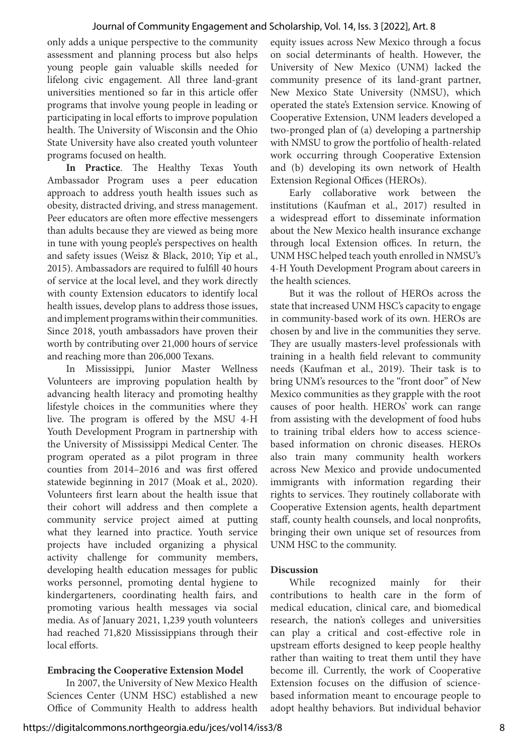only adds a unique perspective to the community assessment and planning process but also helps young people gain valuable skills needed for lifelong civic engagement. All three land-grant universities mentioned so far in this article offer programs that involve young people in leading or participating in local efforts to improve population health. The University of Wisconsin and the Ohio State University have also created youth volunteer programs focused on health.

**In Practice**. The Healthy Texas Youth Ambassador Program uses a peer education approach to address youth health issues such as obesity, distracted driving, and stress management. Peer educators are often more effective messengers than adults because they are viewed as being more in tune with young people's perspectives on health and safety issues (Weisz & Black, 2010; Yip et al., 2015). Ambassadors are required to fulfill 40 hours of service at the local level, and they work directly with county Extension educators to identify local health issues, develop plans to address those issues, and implement programs within their communities. Since 2018, youth ambassadors have proven their worth by contributing over 21,000 hours of service and reaching more than 206,000 Texans.

In Mississippi, Junior Master Wellness Volunteers are improving population health by advancing health literacy and promoting healthy lifestyle choices in the communities where they live. The program is offered by the MSU 4-H Youth Development Program in partnership with the University of Mississippi Medical Center. The program operated as a pilot program in three counties from 2014–2016 and was first offered statewide beginning in 2017 (Moak et al., 2020). Volunteers first learn about the health issue that their cohort will address and then complete a community service project aimed at putting what they learned into practice. Youth service projects have included organizing a physical activity challenge for community members, developing health education messages for public works personnel, promoting dental hygiene to kindergarteners, coordinating health fairs, and promoting various health messages via social media. As of January 2021, 1,239 youth volunteers had reached 71,820 Mississippians through their local efforts.

# **Embracing the Cooperative Extension Model**

In 2007, the University of New Mexico Health Sciences Center (UNM HSC) established a new Office of Community Health to address health equity issues across New Mexico through a focus on social determinants of health. However, the University of New Mexico (UNM) lacked the community presence of its land-grant partner, New Mexico State University (NMSU), which operated the state's Extension service. Knowing of Cooperative Extension, UNM leaders developed a two-pronged plan of (a) developing a partnership with NMSU to grow the portfolio of health-related work occurring through Cooperative Extension and (b) developing its own network of Health Extension Regional Offices (HEROs).

Early collaborative work between the institutions (Kaufman et al., 2017) resulted in a widespread effort to disseminate information about the New Mexico health insurance exchange through local Extension offices. In return, the UNM HSC helped teach youth enrolled in NMSU's 4-H Youth Development Program about careers in the health sciences.

But it was the rollout of HEROs across the state that increased UNM HSC's capacity to engage in community-based work of its own. HEROs are chosen by and live in the communities they serve. They are usually masters-level professionals with training in a health field relevant to community needs (Kaufman et al., 2019). Their task is to bring UNM's resources to the "front door" of New Mexico communities as they grapple with the root causes of poor health. HEROs' work can range from assisting with the development of food hubs to training tribal elders how to access sciencebased information on chronic diseases. HEROs also train many community health workers across New Mexico and provide undocumented immigrants with information regarding their rights to services. They routinely collaborate with Cooperative Extension agents, health department staff, county health counsels, and local nonprofits, bringing their own unique set of resources from UNM HSC to the community.

### **Discussion**

While recognized mainly for their contributions to health care in the form of medical education, clinical care, and biomedical research, the nation's colleges and universities can play a critical and cost-effective role in upstream efforts designed to keep people healthy rather than waiting to treat them until they have become ill. Currently, the work of Cooperative Extension focuses on the diffusion of sciencebased information meant to encourage people to adopt healthy behaviors. But individual behavior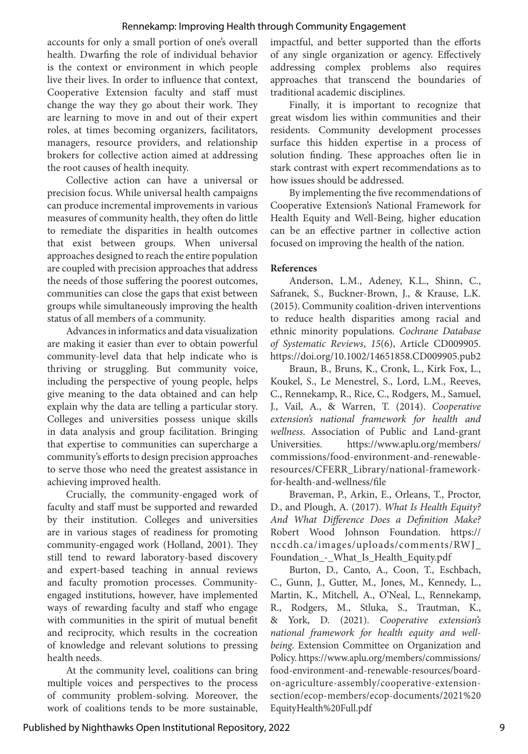accounts for only a small portion of one's overall health. Dwarfing the role of individual behavior is the context or environment in which people live their lives. In order to influence that context, Cooperative Extension faculty and staff must change the way they go about their work. They are learning to move in and out of their expert roles, at times becoming organizers, facilitators, managers, resource providers, and relationship brokers for collective action aimed at addressing the root causes of health inequity.

Collective action can have a universal or precision focus. While universal health campaigns can produce incremental improvements in various measures of community health, they often do little to remediate the disparities in health outcomes that exist between groups. When universal approaches designed to reach the entire population are coupled with precision approaches that address the needs of those suffering the poorest outcomes, communities can close the gaps that exist between groups while simultaneously improving the health status of all members of a community.

Advances in informatics and data visualization are making it easier than ever to obtain powerful community-level data that help indicate who is thriving or struggling. But community voice, including the perspective of young people, helps give meaning to the data obtained and can help explain why the data are telling a particular story. Colleges and universities possess unique skills in data analysis and group facilitation. Bringing that expertise to communities can supercharge a community's efforts to design precision approaches to serve those who need the greatest assistance in achieving improved health.

Crucially, the community-engaged work of faculty and staff must be supported and rewarded by their institution. Colleges and universities are in various stages of readiness for promoting community-engaged work (Holland, 2001). They still tend to reward laboratory-based discovery and expert-based teaching in annual reviews and faculty promotion processes. Communityengaged institutions, however, have implemented ways of rewarding faculty and staff who engage with communities in the spirit of mutual benefit and reciprocity, which results in the cocreation of knowledge and relevant solutions to pressing health needs.

At the community level, coalitions can bring multiple voices and perspectives to the process of community problem-solving. Moreover, the work of coalitions tends to be more sustainable, impactful, and better supported than the efforts of any single organization or agency. Effectively addressing complex problems also requires approaches that transcend the boundaries of traditional academic disciplines.

Finally, it is important to recognize that great wisdom lies within communities and their residents. Community development processes surface this hidden expertise in a process of solution finding. These approaches often lie in stark contrast with expert recommendations as to how issues should be addressed.

By implementing the five recommendations of Cooperative Extension's National Framework for Health Equity and Well-Being, higher education can be an effective partner in collective action focused on improving the health of the nation.

#### **References**

Anderson, L.M., Adeney, K.L., Shinn, C., Safranek, S., Buckner-Brown, J., & Krause, L.K. (2015). Community coalition-driven interventions to reduce health disparities among racial and ethnic minority populations. *Cochrane Database of Systematic Reviews*, *15*(6), Article CD009905. https://doi.org/10.1002/14651858.CD009905.pub2

Braun, B., Bruns, K., Cronk, L., Kirk Fox, L., Koukel, S., Le Menestrel, S., Lord, L.M., Reeves, C., Rennekamp, R., Rice, C., Rodgers, M., Samuel, J., Vail, A., & Warren, T. (2014). *Cooperative extension's national framework for health and wellness*. Association of Public and Land-grant Universities. https://www.aplu.org/members/ commissions/food-environment-and-renewableresources/CFERR\_Library/national-frameworkfor-health-and-wellness/file

Braveman, P., Arkin, E., Orleans, T., Proctor, D., and Plough, A. (2017). *What Is Health Equity? And What Difference Does a Definition Make?* Robert Wood Johnson Foundation. https:// nccdh.ca/images/uploads/comments/RWJ\_ Foundation\_-\_What\_Is\_Health\_Equity.pdf

Burton, D., Canto, A., Coon, T., Eschbach, C., Gunn, J., Gutter, M., Jones, M., Kennedy, L., Martin, K., Mitchell, A., O'Neal, L., Rennekamp, R., Rodgers, M., Stluka, S., Trautman, K., & York, D. (2021). *Cooperative extension's national framework for health equity and wellbeing*. Extension Committee on Organization and Policy. https://www.aplu.org/members/commissions/ food-environment-and-renewable-resources/boardon-agriculture-assembly/cooperative-extensionsection/ecop-members/ecop-documents/2021%20 EquityHealth%20Full.pdf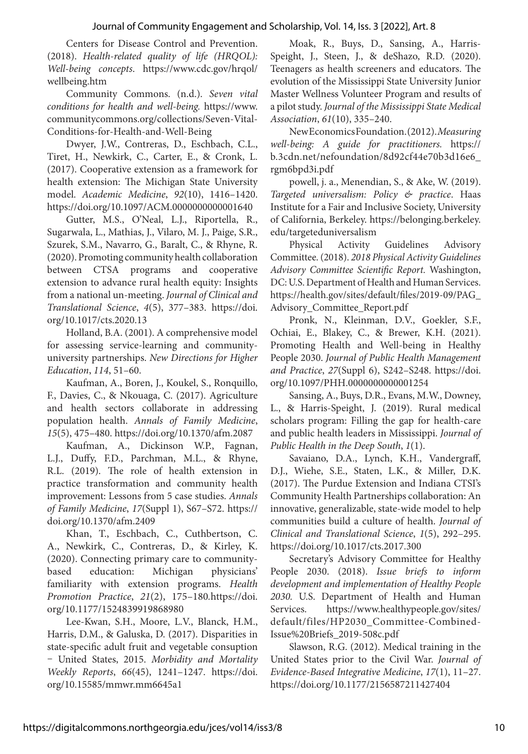Centers for Disease Control and Prevention. (2018). *Health-related quality of life (HRQOL): Well-being concepts*. https://www.cdc.gov/hrqol/ wellbeing.htm

Community Commons. (n.d.). *Seven vital conditions for health and well-being.* https://www. communitycommons.org/collections/Seven-Vital-Conditions-for-Health-and-Well-Being

Dwyer, J.W., Contreras, D., Eschbach, C.L., Tiret, H., Newkirk, C., Carter, E., & Cronk, L. (2017). Cooperative extension as a framework for health extension: The Michigan State University model. *Academic Medicine*, *92*(10), 1416–1420. https://doi.org/10.1097/ACM.0000000000001640

Gutter, M.S., O'Neal, L.J., Riportella, R., Sugarwala, L., Mathias, J., Vilaro, M. J., Paige, S.R., Szurek, S.M., Navarro, G., Baralt, C., & Rhyne, R. (2020). Promoting community health collaboration between CTSA programs and cooperative extension to advance rural health equity: Insights from a national un-meeting. *Journal of Clinical and Translational Science*, *4*(5), 377–383. https://doi. org/10.1017/cts.2020.13

Holland, B.A. (2001). A comprehensive model for assessing service-learning and communityuniversity partnerships. *New Directions for Higher Education*, *114*, 51–60.

Kaufman, A., Boren, J., Koukel, S., Ronquillo, F., Davies, C., & Nkouaga, C. (2017). Agriculture and health sectors collaborate in addressing population health. *Annals of Family Medicine*, *15*(5), 475–480. https://doi.org/10.1370/afm.2087

Kaufman, A., Dickinson W.P., Fagnan, L.J., Duffy, F.D., Parchman, M.L., & Rhyne, R.L. (2019). The role of health extension in practice transformation and community health improvement: Lessons from 5 case studies. *Annals of Family Medicine*, *17*(Suppl 1), S67–S72. https:// doi.org/10.1370/afm.2409

Khan, T., Eschbach, C., Cuthbertson, C. A., Newkirk, C., Contreras, D., & Kirley, K. (2020). Connecting primary care to communitybased education: Michigan physicians' familiarity with extension programs. *Health Promotion Practice*, *21*(2), 175–180*.*https://doi. org/10.1177/1524839919868980

Lee-Kwan, S.H., Moore, L.V., Blanck, H.M., Harris, D.M., & Galuska, D. (2017). Disparities in state-specific adult fruit and vegetable consuption – United States, 2015. *Morbidity and Mortality Weekly Reports*, *66*(45), 1241–1247. https://doi. org/10.15585/mmwr.mm6645a1

Moak, R., Buys, D., Sansing, A., Harris-Speight, J., Steen, J., & deShazo, R.D. (2020). Teenagers as health screeners and educators. The evolution of the Mississippi State University Junior Master Wellness Volunteer Program and results of a pilot study. *Journal of the Mississippi State Medical Association*, *61*(10), 335–240.

New Economics Foundation. (2012). *Measuring well-being: A guide for practitioners.* https:// b.3cdn.net/nefoundation/8d92cf44e70b3d16e6\_ rgm6bpd3i.pdf

powell, j. a., Menendian, S., & Ake, W. (2019). *Targeted universalism: Policy & practice*. Haas Institute for a Fair and Inclusive Society, University of California, Berkeley. https://belonging.berkeley. edu/targeteduniversalism

Physical Activity Guidelines Advisory Committee. (2018). *2018 Physical Activity Guidelines Advisory Committee Scientific Report.* Washington, DC: U.S. Department of Health and Human Services. https://health.gov/sites/default/files/2019-09/PAG\_ Advisory\_Committee\_Report.pdf

Pronk, N., Kleinman, D.V., Goekler, S.F., Ochiai, E., Blakey, C., & Brewer, K.H. (2021). Promoting Health and Well-being in Healthy People 2030. *Journal of Public Health Management and Practice*, *27*(Suppl 6), S242–S248. https://doi. org/10.1097/PHH.0000000000001254

Sansing, A., Buys, D.R., Evans, M.W., Downey, L., & Harris-Speight, J. (2019). Rural medical scholars program: Filling the gap for health-care and public health leaders in Mississippi. *Journal of Public Health in the Deep South*, *1*(1).

Savaiano, D.A., Lynch, K.H., Vandergraff, D.J., Wiehe, S.E., Staten, L.K., & Miller, D.K. (2017). The Purdue Extension and Indiana CTSI's Community Health Partnerships collaboration: An innovative, generalizable, state-wide model to help communities build a culture of health. *Journal of Clinical and Translational Science*, *1*(5), 292–295. https://doi.org/10.1017/cts.2017.300

Secretary's Advisory Committee for Healthy People 2030. (2018). *Issue briefs to inform development and implementation of Healthy People 2030.* U.S. Department of Health and Human Services. https://www.healthypeople.gov/sites/ default/files/HP2030\_Committee-Combined-Issue%20Briefs\_2019-508c.pdf

Slawson, R.G. (2012). Medical training in the United States prior to the Civil War. *Journal of Evidence-Based Integrative Medicine*, *17*(1), 11–27. https://doi.org/10.1177/2156587211427404